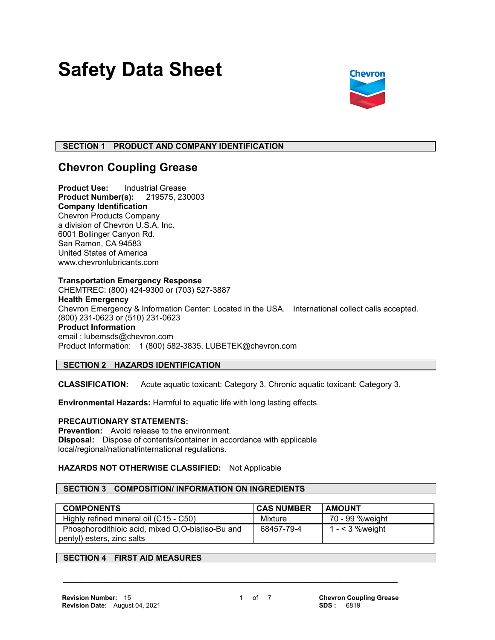# **Safety Data Sheet**



# **SECTION 1 PRODUCT AND COMPANY IDENTIFICATION**

# **Chevron Coupling Grease**

**Product Use:** Industrial Grease **Product Number(s):** 219575, 230003 **Company Identification** Chevron Products Company a division of Chevron U.S.A. Inc. 6001 Bollinger Canyon Rd. San Ramon, CA 94583 United States of America www.chevronlubricants.com

#### **Transportation Emergency Response**

CHEMTREC: (800) 424-9300 or (703) 527-3887 **Health Emergency** Chevron Emergency & Information Center: Located in the USA. International collect calls accepted. (800) 231-0623 or (510) 231-0623 **Product Information** email : lubemsds@chevron.com Product Information: 1 (800) 582-3835, LUBETEK@chevron.com

# **SECTION 2 HAZARDS IDENTIFICATION**

**CLASSIFICATION:** Acute aquatic toxicant: Category 3. Chronic aquatic toxicant: Category 3.

**Environmental Hazards:** Harmful to aquatic life with long lasting effects.

# **PRECAUTIONARY STATEMENTS:**

**Prevention:** Avoid release to the environment. **Disposal:** Dispose of contents/container in accordance with applicable local/regional/national/international regulations.

# **HAZARDS NOT OTHERWISE CLASSIFIED:** Not Applicable

# **SECTION 3 COMPOSITION/ INFORMATION ON INGREDIENTS**

| <b>COMPONENTS</b>                                | <b>CAS NUMBER</b> | <b>AMOUNT</b>    |
|--------------------------------------------------|-------------------|------------------|
| Highly refined mineral oil (C15 - C50)           | Mixture           | 70 - 99 %weight  |
| Phosphorodithioic acid, mixed O,O-bis(iso-Bu and | 68457-79-4        | $1 - 3$ % weight |
| pentyl) esters, zinc salts                       |                   |                  |

 **\_\_\_\_\_\_\_\_\_\_\_\_\_\_\_\_\_\_\_\_\_\_\_\_\_\_\_\_\_\_\_\_\_\_\_\_\_\_\_\_\_\_\_\_\_\_\_\_\_\_\_\_\_\_\_\_\_\_\_\_\_\_\_\_\_\_\_\_\_**

# **SECTION 4 FIRST AID MEASURES**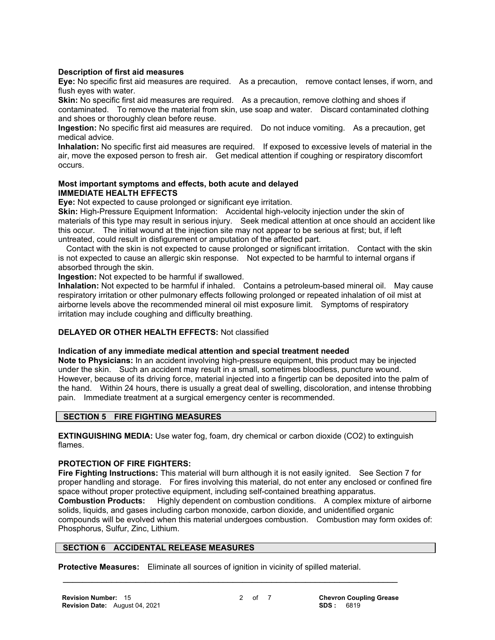#### **Description of first aid measures**

**Eye:** No specific first aid measures are required. As a precaution, remove contact lenses, if worn, and flush eyes with water.

**Skin:** No specific first aid measures are required. As a precaution, remove clothing and shoes if contaminated. To remove the material from skin, use soap and water. Discard contaminated clothing and shoes or thoroughly clean before reuse.

**Ingestion:** No specific first aid measures are required. Do not induce vomiting. As a precaution, get medical advice.

**Inhalation:** No specific first aid measures are required. If exposed to excessive levels of material in the air, move the exposed person to fresh air. Get medical attention if coughing or respiratory discomfort occurs.

#### **Most important symptoms and effects, both acute and delayed IMMEDIATE HEALTH EFFECTS**

**Eye:** Not expected to cause prolonged or significant eye irritation.

**Skin:** High-Pressure Equipment Information: Accidental high-velocity injection under the skin of materials of this type may result in serious injury. Seek medical attention at once should an accident like this occur. The initial wound at the injection site may not appear to be serious at first; but, if left untreated, could result in disfigurement or amputation of the affected part.

 Contact with the skin is not expected to cause prolonged or significant irritation. Contact with the skin is not expected to cause an allergic skin response. Not expected to be harmful to internal organs if absorbed through the skin.

**Ingestion:** Not expected to be harmful if swallowed.

**Inhalation:** Not expected to be harmful if inhaled. Contains a petroleum-based mineral oil. May cause respiratory irritation or other pulmonary effects following prolonged or repeated inhalation of oil mist at airborne levels above the recommended mineral oil mist exposure limit. Symptoms of respiratory irritation may include coughing and difficulty breathing.

# **DELAYED OR OTHER HEALTH EFFECTS:** Not classified

#### **Indication of any immediate medical attention and special treatment needed**

**Note to Physicians:** In an accident involving high-pressure equipment, this product may be injected under the skin. Such an accident may result in a small, sometimes bloodless, puncture wound. However, because of its driving force, material injected into a fingertip can be deposited into the palm of the hand. Within 24 hours, there is usually a great deal of swelling, discoloration, and intense throbbing pain. Immediate treatment at a surgical emergency center is recommended.

#### **SECTION 5 FIRE FIGHTING MEASURES**

**EXTINGUISHING MEDIA:** Use water fog, foam, dry chemical or carbon dioxide (CO2) to extinguish flames.

#### **PROTECTION OF FIRE FIGHTERS:**

**Fire Fighting Instructions:** This material will burn although it is not easily ignited. See Section 7 for proper handling and storage. For fires involving this material, do not enter any enclosed or confined fire space without proper protective equipment, including self-contained breathing apparatus. **Combustion Products:** Highly dependent on combustion conditions. A complex mixture of airborne solids, liquids, and gases including carbon monoxide, carbon dioxide, and unidentified organic compounds will be evolved when this material undergoes combustion. Combustion may form oxides of: Phosphorus, Sulfur, Zinc, Lithium.

#### **SECTION 6 ACCIDENTAL RELEASE MEASURES**

**Protective Measures:** Eliminate all sources of ignition in vicinity of spilled material.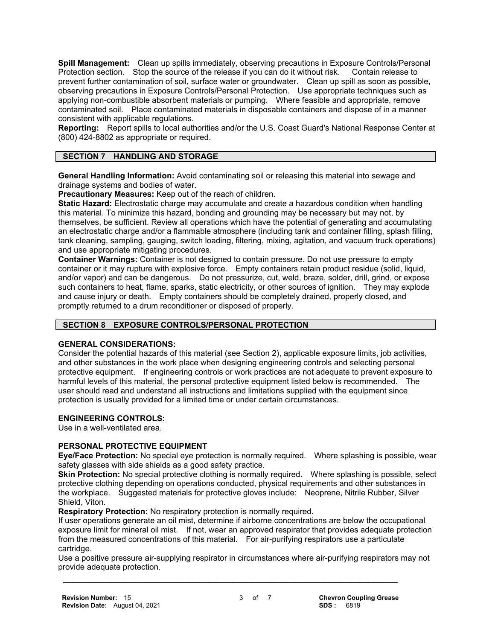**Spill Management:** Clean up spills immediately, observing precautions in Exposure Controls/Personal Protection section. Stop the source of the release if you can do it without risk. Contain release to prevent further contamination of soil, surface water or groundwater. Clean up spill as soon as possible, observing precautions in Exposure Controls/Personal Protection. Use appropriate techniques such as applying non-combustible absorbent materials or pumping. Where feasible and appropriate, remove contaminated soil. Place contaminated materials in disposable containers and dispose of in a manner consistent with applicable regulations.

**Reporting:** Report spills to local authorities and/or the U.S. Coast Guard's National Response Center at (800) 424-8802 as appropriate or required.

# **SECTION 7 HANDLING AND STORAGE**

**General Handling Information:** Avoid contaminating soil or releasing this material into sewage and drainage systems and bodies of water.

**Precautionary Measures:** Keep out of the reach of children.

**Static Hazard:** Electrostatic charge may accumulate and create a hazardous condition when handling this material. To minimize this hazard, bonding and grounding may be necessary but may not, by themselves, be sufficient. Review all operations which have the potential of generating and accumulating an electrostatic charge and/or a flammable atmosphere (including tank and container filling, splash filling, tank cleaning, sampling, gauging, switch loading, filtering, mixing, agitation, and vacuum truck operations) and use appropriate mitigating procedures.

**Container Warnings:** Container is not designed to contain pressure. Do not use pressure to empty container or it may rupture with explosive force. Empty containers retain product residue (solid, liquid, and/or vapor) and can be dangerous. Do not pressurize, cut, weld, braze, solder, drill, grind, or expose such containers to heat, flame, sparks, static electricity, or other sources of ignition. They may explode and cause injury or death. Empty containers should be completely drained, properly closed, and promptly returned to a drum reconditioner or disposed of properly.

#### **SECTION 8 EXPOSURE CONTROLS/PERSONAL PROTECTION**

#### **GENERAL CONSIDERATIONS:**

Consider the potential hazards of this material (see Section 2), applicable exposure limits, job activities, and other substances in the work place when designing engineering controls and selecting personal protective equipment. If engineering controls or work practices are not adequate to prevent exposure to harmful levels of this material, the personal protective equipment listed below is recommended. The user should read and understand all instructions and limitations supplied with the equipment since protection is usually provided for a limited time or under certain circumstances.

# **ENGINEERING CONTROLS:**

Use in a well-ventilated area.

#### **PERSONAL PROTECTIVE EQUIPMENT**

**Eye/Face Protection:** No special eye protection is normally required. Where splashing is possible, wear safety glasses with side shields as a good safety practice.

**Skin Protection:** No special protective clothing is normally required. Where splashing is possible, select protective clothing depending on operations conducted, physical requirements and other substances in the workplace. Suggested materials for protective gloves include: Neoprene, Nitrile Rubber, Silver Shield, Viton.

**Respiratory Protection:** No respiratory protection is normally required.

If user operations generate an oil mist, determine if airborne concentrations are below the occupational exposure limit for mineral oil mist. If not, wear an approved respirator that provides adequate protection from the measured concentrations of this material. For air-purifying respirators use a particulate cartridge.

Use a positive pressure air-supplying respirator in circumstances where air-purifying respirators may not provide adequate protection.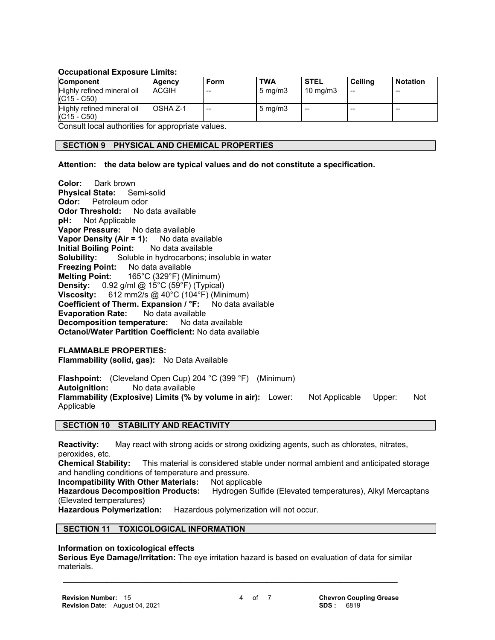#### **Occupational Exposure Limits:**

| <b>Component</b>                            | Agency       | Form  | <b>TWA</b>       | <b>STEL</b>       | Ceilina | <b>Notation</b> |
|---------------------------------------------|--------------|-------|------------------|-------------------|---------|-----------------|
| Highly refined mineral oil<br>$(C15 - C50)$ | <b>ACGIH</b> | $- -$ | $5 \text{ mg/m}$ | $10 \text{ mg/m}$ | --      | $- -$           |
| Highly refined mineral oil<br>$(C15 - C50)$ | OSHA Z-1     | $-$   | $5 \text{ mg/m}$ | $- -$             | --      | $- -$           |

Consult local authorities for appropriate values.

#### **SECTION 9 PHYSICAL AND CHEMICAL PROPERTIES**

#### **Attention: the data below are typical values and do not constitute a specification.**

**Color:** Dark brown **Physical State:** Semi-solid **Odor:** Petroleum odor **Odor Threshold:** No data available **pH:** Not Applicable **Vapor Pressure:** No data available **Vapor Density (Air = 1):** No data available **Initial Boiling Point:** No data available **Solubility:** Soluble in hydrocarbons; insoluble in water **Freezing Point:** No data available **Melting Point:** 165°C (329°F) (Minimum) **Density:** 0.92 g/ml @ 15°C (59°F) (Typical) **Viscosity:** 612 mm2/s @ 40°C (104°F) (Minimum) **Coefficient of Therm. Expansion / °F:** No data available **Evaporation Rate:** No data available **Decomposition temperature:** No data available **Octanol/Water Partition Coefficient:** No data available

# **FLAMMABLE PROPERTIES:**

**Flammability (solid, gas):** No Data Available

**Flashpoint:** (Cleveland Open Cup) 204 °C (399 °F) (Minimum) **Autoignition:** No data available **Flammability (Explosive) Limits (% by volume in air):** Lower: Not Applicable Upper: Not Applicable

#### **SECTION 10 STABILITY AND REACTIVITY**

**Reactivity:** May react with strong acids or strong oxidizing agents, such as chlorates, nitrates, peroxides, etc.

**Chemical Stability:** This material is considered stable under normal ambient and anticipated storage and handling conditions of temperature and pressure.

**Incompatibility With Other Materials: Not applicable** 

**Hazardous Decomposition Products:** Hydrogen Sulfide (Elevated temperatures), Alkyl Mercaptans (Elevated temperatures)

**Hazardous Polymerization:** Hazardous polymerization will not occur.

# **SECTION 11 TOXICOLOGICAL INFORMATION**

#### **Information on toxicological effects**

**Serious Eye Damage/Irritation:** The eye irritation hazard is based on evaluation of data for similar materials.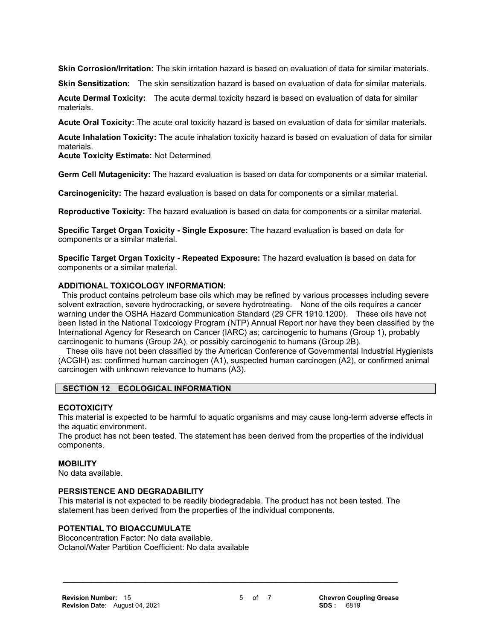**Skin Corrosion/Irritation:** The skin irritation hazard is based on evaluation of data for similar materials.

**Skin Sensitization:** The skin sensitization hazard is based on evaluation of data for similar materials.

**Acute Dermal Toxicity:** The acute dermal toxicity hazard is based on evaluation of data for similar materials.

**Acute Oral Toxicity:** The acute oral toxicity hazard is based on evaluation of data for similar materials.

**Acute Inhalation Toxicity:** The acute inhalation toxicity hazard is based on evaluation of data for similar materials.

**Acute Toxicity Estimate:** Not Determined

**Germ Cell Mutagenicity:** The hazard evaluation is based on data for components or a similar material.

**Carcinogenicity:** The hazard evaluation is based on data for components or a similar material.

**Reproductive Toxicity:** The hazard evaluation is based on data for components or a similar material.

**Specific Target Organ Toxicity - Single Exposure:** The hazard evaluation is based on data for components or a similar material.

**Specific Target Organ Toxicity - Repeated Exposure:** The hazard evaluation is based on data for components or a similar material.

#### **ADDITIONAL TOXICOLOGY INFORMATION:**

 This product contains petroleum base oils which may be refined by various processes including severe solvent extraction, severe hydrocracking, or severe hydrotreating. None of the oils requires a cancer warning under the OSHA Hazard Communication Standard (29 CFR 1910.1200). These oils have not been listed in the National Toxicology Program (NTP) Annual Report nor have they been classified by the International Agency for Research on Cancer (IARC) as; carcinogenic to humans (Group 1), probably carcinogenic to humans (Group 2A), or possibly carcinogenic to humans (Group 2B).

 These oils have not been classified by the American Conference of Governmental Industrial Hygienists (ACGIH) as: confirmed human carcinogen (A1), suspected human carcinogen (A2), or confirmed animal carcinogen with unknown relevance to humans (A3).

#### **SECTION 12 ECOLOGICAL INFORMATION**

#### **ECOTOXICITY**

This material is expected to be harmful to aquatic organisms and may cause long-term adverse effects in the aquatic environment.

The product has not been tested. The statement has been derived from the properties of the individual components.

#### **MOBILITY**

No data available.

#### **PERSISTENCE AND DEGRADABILITY**

This material is not expected to be readily biodegradable. The product has not been tested. The statement has been derived from the properties of the individual components.

 **\_\_\_\_\_\_\_\_\_\_\_\_\_\_\_\_\_\_\_\_\_\_\_\_\_\_\_\_\_\_\_\_\_\_\_\_\_\_\_\_\_\_\_\_\_\_\_\_\_\_\_\_\_\_\_\_\_\_\_\_\_\_\_\_\_\_\_\_\_**

#### **POTENTIAL TO BIOACCUMULATE**

Bioconcentration Factor: No data available. Octanol/Water Partition Coefficient: No data available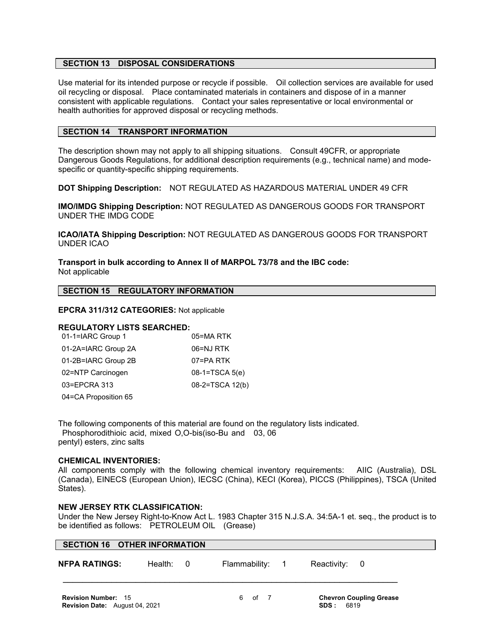#### **SECTION 13 DISPOSAL CONSIDERATIONS**

Use material for its intended purpose or recycle if possible. Oil collection services are available for used oil recycling or disposal. Place contaminated materials in containers and dispose of in a manner consistent with applicable regulations. Contact your sales representative or local environmental or health authorities for approved disposal or recycling methods.

#### **SECTION 14 TRANSPORT INFORMATION**

The description shown may not apply to all shipping situations. Consult 49CFR, or appropriate Dangerous Goods Regulations, for additional description requirements (e.g., technical name) and modespecific or quantity-specific shipping requirements.

**DOT Shipping Description:** NOT REGULATED AS HAZARDOUS MATERIAL UNDER 49 CFR

**IMO/IMDG Shipping Description:** NOT REGULATED AS DANGEROUS GOODS FOR TRANSPORT UNDER THE IMDG CODE

**ICAO/IATA Shipping Description:** NOT REGULATED AS DANGEROUS GOODS FOR TRANSPORT UNDER ICAO

**Transport in bulk according to Annex II of MARPOL 73/78 and the IBC code:** Not applicable

#### **SECTION 15 REGULATORY INFORMATION**

#### **EPCRA 311/312 CATEGORIES:** Not applicable

#### **REGULATORY LISTS SEARCHED:**

| 01-1=IARC Group 1    | 05=MA RTK       |
|----------------------|-----------------|
| 01-2A=IARC Group 2A  | 06=NJ RTK       |
| 01-2B=IARC Group 2B  | 07=PA RTK       |
| 02=NTP Carcinogen    | 08-1=TSCA 5(e)  |
| 03=EPCRA 313         | 08-2=TSCA 12(b) |
| 04=CA Proposition 65 |                 |

The following components of this material are found on the regulatory lists indicated.

 Phosphorodithioic acid, mixed O,O-bis(iso-Bu and 03, 06 pentyl) esters, zinc salts

#### **CHEMICAL INVENTORIES:**

All components comply with the following chemical inventory requirements: AIIC (Australia), DSL (Canada), EINECS (European Union), IECSC (China), KECI (Korea), PICCS (Philippines), TSCA (United States).

#### **NEW JERSEY RTK CLASSIFICATION:**

Under the New Jersey Right-to-Know Act L. 1983 Chapter 315 N.J.S.A. 34:5A-1 et. seq., the product is to be identified as follows: PETROLEUM OIL (Grease)

|                      | <b>SECTION 16 OTHER INFORMATION</b> |                 |               |  |
|----------------------|-------------------------------------|-----------------|---------------|--|
| <b>NFPA RATINGS:</b> | Health: 0                           | Flammability: 1 | Reactivity: 0 |  |
|                      |                                     |                 |               |  |